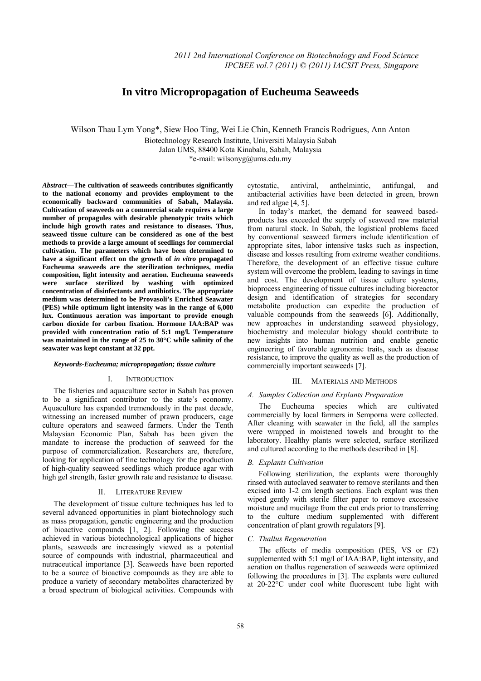# **In vitro Micropropagation of Eucheuma Seaweeds**

Wilson Thau Lym Yong\*, Siew Hoo Ting, Wei Lie Chin, Kenneth Francis Rodrigues, Ann Anton

Biotechnology Research Institute, Universiti Malaysia Sabah

Jalan UMS, 88400 Kota Kinabalu, Sabah, Malaysia

\*e-mail: wilsonyg@ums.edu.my

*Abstract***—The cultivation of seaweeds contributes significantly to the national economy and provides employment to the economically backward communities of Sabah, Malaysia. Cultivation of seaweeds on a commercial scale requires a large number of propagules with desirable phenotypic traits which include high growth rates and resistance to diseases. Thus, seaweed tissue culture can be considered as one of the best methods to provide a large amount of seedlings for commercial cultivation. The parameters which have been determined to have a significant effect on the growth of** *in vitro* **propagated Eucheuma seaweeds are the sterilization techniques, media composition, light intensity and aeration. Eucheuma seaweeds were surface sterilized by washing with optimized concentration of disinfectants and antibiotics. The appropriate medium was determined to be Provasoli's Enriched Seawater (PES) while optimum light intensity was in the range of 6,000 lux. Continuous aeration was important to provide enough carbon dioxide for carbon fixation. Hormone IAA:BAP was provided with concentration ratio of 5:1 mg/l. Temperature was maintained in the range of 25 to 30°C while salinity of the seawater was kept constant at 32 ppt.** 

#### *Keywords-Eucheuma; micropropagation; tissue culture*

# I. INTRODUCTION

The fisheries and aquaculture sector in Sabah has proven to be a significant contributor to the state's economy. Aquaculture has expanded tremendously in the past decade, witnessing an increased number of prawn producers, cage culture operators and seaweed farmers. Under the Tenth Malaysian Economic Plan, Sabah has been given the mandate to increase the production of seaweed for the purpose of commercialization. Researchers are, therefore, looking for application of fine technology for the production of high-quality seaweed seedlings which produce agar with high gel strength, faster growth rate and resistance to disease.

### II. LITERATURE REVIEW

The development of tissue culture techniques has led to several advanced opportunities in plant biotechnology such as mass propagation, genetic engineering and the production of bioactive compounds [1, 2]. Following the success achieved in various biotechnological applications of higher plants, seaweeds are increasingly viewed as a potential source of compounds with industrial, pharmaceutical and nutraceutical importance [3]. Seaweeds have been reported to be a source of bioactive compounds as they are able to produce a variety of secondary metabolites characterized by a broad spectrum of biological activities. Compounds with cytostatic, antiviral, anthelmintic, antifungal, and antibacterial activities have been detected in green, brown and red algae [4, 5].

In today's market, the demand for seaweed basedproducts has exceeded the supply of seaweed raw material from natural stock. In Sabah, the logistical problems faced by conventional seaweed farmers include identification of appropriate sites, labor intensive tasks such as inspection, disease and losses resulting from extreme weather conditions. Therefore, the development of an effective tissue culture system will overcome the problem, leading to savings in time and cost. The development of tissue culture systems, bioprocess engineering of tissue cultures including bioreactor design and identification of strategies for secondary metabolite production can expedite the production of valuable compounds from the seaweeds [6]. Additionally, new approaches in understanding seaweed physiology, biochemistry and molecular biology should contribute to new insights into human nutrition and enable genetic engineering of favorable agronomic traits, such as disease resistance, to improve the quality as well as the production of commercially important seaweeds [7].

### III. MATERIALS AND METHODS

### *A. Samples Collection and Explants Preparation*

The Eucheuma species which are cultivated commercially by local farmers in Semporna were collected. After cleaning with seawater in the field, all the samples were wrapped in moistened towels and brought to the laboratory. Healthy plants were selected, surface sterilized and cultured according to the methods described in [8].

### *B. Explants Cultivation*

Following sterilization, the explants were thoroughly rinsed with autoclaved seawater to remove sterilants and then excised into 1-2 cm length sections. Each explant was then wiped gently with sterile filter paper to remove excessive moisture and mucilage from the cut ends prior to transferring to the culture medium supplemented with different concentration of plant growth regulators [9].

### *C. Thallus Regeneration*

The effects of media composition (PES, VS or f/2) supplemented with 5:1 mg/l of IAA:BAP, light intensity, and aeration on thallus regeneration of seaweeds were optimized following the procedures in [3]. The explants were cultured at 20-22°C under cool white fluorescent tube light with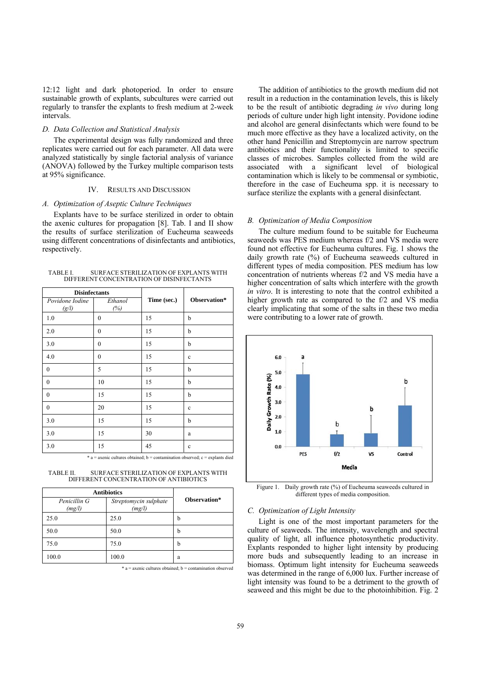12:12 light and dark photoperiod. In order to ensure sustainable growth of explants, subcultures were carried out regularly to transfer the explants to fresh medium at 2-week intervals.

# *D. Data Collection and Statistical Analysis*

The experimental design was fully randomized and three replicates were carried out for each parameter. All data were analyzed statistically by single factorial analysis of variance (ANOVA) followed by the Turkey multiple comparison tests at 95% significance.

### IV. RESULTS AND DISCUSSION

#### *A. Optimization of Aseptic Culture Techniques*

Explants have to be surface sterilized in order to obtain the axenic cultures for propagation [8]. Tab. I and II show the results of surface sterilization of Eucheuma seaweeds using different concentrations of disinfectants and antibiotics, respectively.

TABLE I. SURFACE STERILIZATION OF EXPLANTS WITH DIFFERENT CONCENTRATION OF DISINFECTANTS

| <b>Disinfectants</b>     |                  |             |              |
|--------------------------|------------------|-------------|--------------|
| Povidone Iodine<br>(g/l) | Ethanol<br>(%)   | Time (sec.) | Observation* |
| 1.0                      | $\boldsymbol{0}$ | 15          | b            |
| 2.0                      | $\boldsymbol{0}$ | 15          | b            |
| 3.0                      | $\mathbf{0}$     | 15          | b            |
| 4.0                      | $\mathbf{0}$     | 15          | $\mathbf c$  |
| $\mathbf{0}$             | 5                | 15          | b            |
| $\mathbf{0}$             | 10               | 15          | b            |
| $\mathbf{0}$             | 15               | 15          | b            |
| $\mathbf{0}$             | 20               | 15          | c            |
| 3.0                      | 15               | 15          | b            |
| 3.0                      | 15               | 30          | a            |
| 3.0                      | 15               | 45          | $\mathbf c$  |

 $a =$  axenic cultures obtained:  $b =$  contamination observed; c = explants died

TABLE II. SURFACE STERILIZATION OF EXPLANTS WITH DIFFERENT CONCENTRATION OF ANTIBIOTICS

| <b>Antibiotics</b>     |                                 |              |
|------------------------|---------------------------------|--------------|
| Penicillin G<br>(mg/l) | Streptomycin sulphate<br>(mg/l) | Observation* |
| 25.0                   | 25.0                            | b            |
| 50.0                   | 50.0                            | b            |
| 75.0                   | 75.0                            | b            |
| 100.0                  | 100.0                           | a            |

 $* a =$  axenic cultures obtained;  $b =$  contamination observed

The addition of antibiotics to the growth medium did not result in a reduction in the contamination levels, this is likely to be the result of antibiotic degrading *in vivo* during long periods of culture under high light intensity. Povidone iodine and alcohol are general disinfectants which were found to be much more effective as they have a localized activity, on the other hand Penicillin and Streptomycin are narrow spectrum antibiotics and their functionality is limited to specific classes of microbes. Samples collected from the wild are associated with a significant level of biological contamination which is likely to be commensal or symbiotic, therefore in the case of Eucheuma spp. it is necessary to surface sterilize the explants with a general disinfectant.

#### *B. Optimization of Media Composition*

The culture medium found to be suitable for Eucheuma seaweeds was PES medium whereas f/2 and VS media were found not effective for Eucheuma cultures. Fig. 1 shows the daily growth rate (%) of Eucheuma seaweeds cultured in different types of media composition. PES medium has low concentration of nutrients whereas f/2 and VS media have a higher concentration of salts which interfere with the growth *in vitro*. It is interesting to note that the control exhibited a higher growth rate as compared to the f/2 and VS media clearly implicating that some of the salts in these two media were contributing to a lower rate of growth.



Figure 1. Daily growth rate (%) of Eucheuma seaweeds cultured in different types of media composition.

#### *C. Optimization of Light Intensity*

Light is one of the most important parameters for the culture of seaweeds. The intensity, wavelength and spectral quality of light, all influence photosynthetic productivity. Explants responded to higher light intensity by producing more buds and subsequently leading to an increase in biomass. Optimum light intensity for Eucheuma seaweeds was determined in the range of 6,000 lux. Further increase of light intensity was found to be a detriment to the growth of seaweed and this might be due to the photoinhibition. Fig. 2